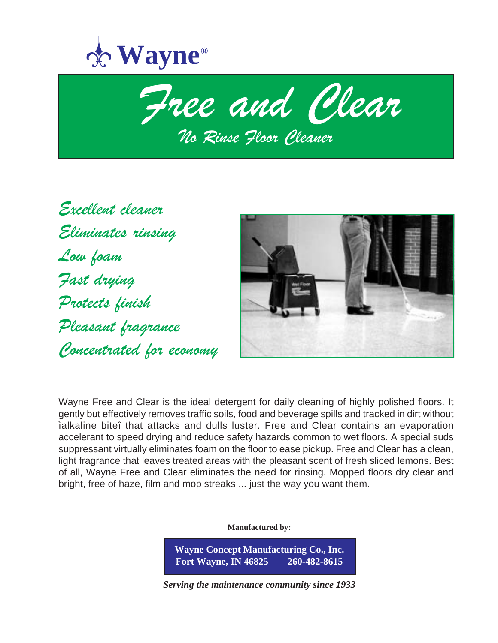



Excellent cleaner Eliminates rinsing Low foam Fast drying Protects finish Pleasant fragrance Concentrated for economy



Wayne Free and Clear is the ideal detergent for daily cleaning of highly polished floors. It gently but effectively removes traffic soils, food and beverage spills and tracked in dirt without ìalkaline biteî that attacks and dulls luster. Free and Clear contains an evaporation accelerant to speed drying and reduce safety hazards common to wet floors. A special suds suppressant virtually eliminates foam on the floor to ease pickup. Free and Clear has a clean, light fragrance that leaves treated areas with the pleasant scent of fresh sliced lemons. Best of all, Wayne Free and Clear eliminates the need for rinsing. Mopped floors dry clear and bright, free of haze, film and mop streaks ... just the way you want them.

**Manufactured by:**

**Wayne Concept Manufacturing Co., Inc. Fort Wayne, IN 46825 260-482-8615**

*Serving the maintenance community since 1933*